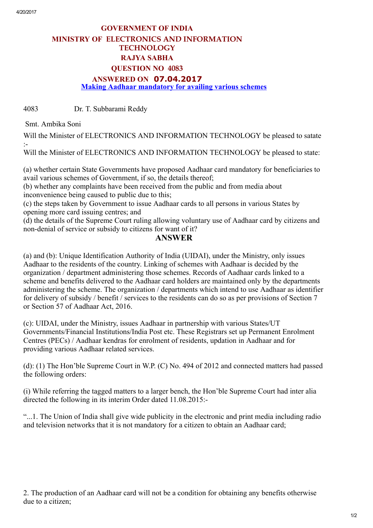## GOVERNMENT OF INDIA MINISTRY OF ELECTRONICS AND INFORMATION **TECHNOLOGY** RAJYA SABHA QUESTION NO 4083 ANSWERED ON 07.04.2017 Making Aadhaar mandatory for availing various schemes

4083 Dr. T. Subbarami Reddy

Smt. Ambika Soni

Will the Minister of ELECTRONICS AND INFORMATION TECHNOLOGY be pleased to satate :

Will the Minister of ELECTRONICS AND INFORMATION TECHNOLOGY be pleased to state:

(a) whether certain State Governments have proposed Aadhaar card mandatory for beneficiaries to avail various schemes of Government, if so, the details thereof;

(b) whether any complaints have been received from the public and from media about inconvenience being caused to public due to this;

(c) the steps taken by Government to issue Aadhaar cards to all persons in various States by opening more card issuing centres; and

(d) the details of the Supreme Court ruling allowing voluntary use of Aadhaar card by citizens and non-denial of service or subsidy to citizens for want of it?

## ANSWER

(a) and (b): Unique Identification Authority of India (UIDAI), under the Ministry, only issues Aadhaar to the residents of the country. Linking of schemes with Aadhaar is decided by the organization / department administering those schemes. Records of Aadhaar cards linked to a scheme and benefits delivered to the Aadhaar card holders are maintained only by the departments administering the scheme. The organization / departments which intend to use Aadhaar as identifier for delivery of subsidy / benefit / services to the residents can do so as per provisions of Section 7 or Section 57 of Aadhaar Act, 2016.

(c): UIDAI, under the Ministry, issues Aadhaar in partnership with various States/UT Governments/Financial Institutions/India Post etc. These Registrars set up Permanent Enrolment Centres (PECs) / Aadhaar kendras for enrolment of residents, updation in Aadhaar and for providing various Aadhaar related services.

(d): (1) The Hon'ble Supreme Court in W.P. (C) No. 494 of 2012 and connected matters had passed the following orders:

(i) While referring the tagged matters to a larger bench, the Hon'ble Supreme Court had inter alia directed the following in its interim Order dated 11.08.2015:

"...1. The Union of India shall give wide publicity in the electronic and print media including radio and television networks that it is not mandatory for a citizen to obtain an Aadhaar card;

2. The production of an Aadhaar card will not be a condition for obtaining any benefits otherwise due to a citizen;